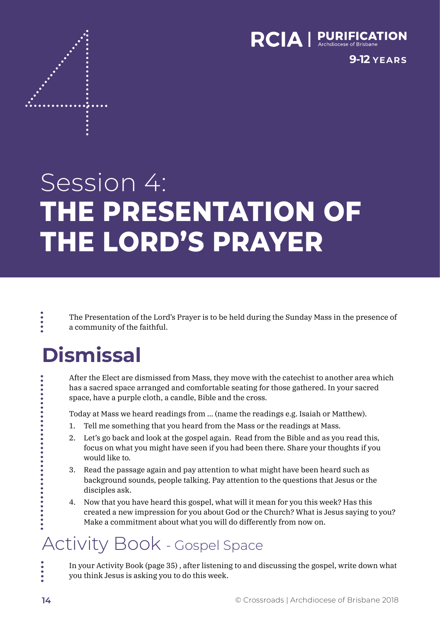

**9-12 YEARS**

# Session 4: **THE PRESENTATION OF THE LORD'S PRAYER**

The Presentation of the Lord's Prayer is to be held during the Sunday Mass in the presence of a community of the faithful.

# **Dismissal**

....

After the Elect are dismissed from Mass, they move with the catechist to another area which has a sacred space arranged and comfortable seating for those gathered. In your sacred space, have a purple cloth, a candle, Bible and the cross.

Today at Mass we heard readings from … (name the readings e.g. Isaiah or Matthew).

- 1. Tell me something that you heard from the Mass or the readings at Mass.
- 2. Let's go back and look at the gospel again. Read from the Bible and as you read this, focus on what you might have seen if you had been there. Share your thoughts if you would like to.
- 3. Read the passage again and pay attention to what might have been heard such as background sounds, people talking. Pay attention to the questions that Jesus or the disciples ask.
- 4. Now that you have heard this gospel, what will it mean for you this week? Has this created a new impression for you about God or the Church? What is Jesus saying to you? Make a commitment about what you will do differently from now on.

## Activity Book - Gospel Space

In your Activity Book (page 35) , after listening to and discussing the gospel, write down what you think Jesus is asking you to do this week.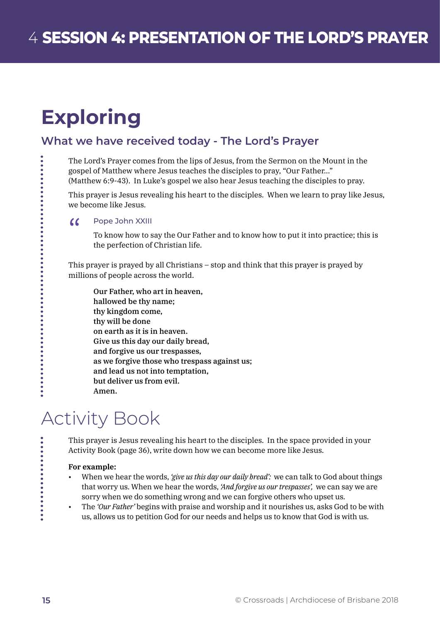# **Exploring**

### **What we have received today - The Lord's Prayer**

The Lord's Prayer comes from the lips of Jesus, from the Sermon on the Mount in the gospel of Matthew where Jesus teaches the disciples to pray, "Our Father…" (Matthew 6:9-43). In Luke's gospel we also hear Jesus teaching the disciples to pray.

This prayer is Jesus revealing his heart to the disciples. When we learn to pray like Jesus, we become like Jesus.

#### $\alpha$ Pope John XXIII

To know how to say the Our Father and to know how to put it into practice; this is the perfection of Christian life.

This prayer is prayed by all Christians – stop and think that this prayer is prayed by millions of people across the world.

Our Father, who art in heaven, hallowed be thy name; thy kingdom come, thy will be done on earth as it is in heaven. Give us this day our daily bread, and forgive us our trespasses, as we forgive those who trespass against us; and lead us not into temptation, but deliver us from evil. Amen.

## Activity Book

This prayer is Jesus revealing his heart to the disciples. In the space provided in your Activity Book (page 36), write down how we can become more like Jesus.

### **For example:**

- When we hear the words, *'give us this day our daily bread':* we can talk to God about things that worry us. When we hear the words, *'And forgive us our trespasses',* we can say we are sorry when we do something wrong and we can forgive others who upset us.
- The *'Our Father'* begins with praise and worship and it nourishes us, asks God to be with us, allows us to petition God for our needs and helps us to know that God is with us.

. . . . . . . . . . .